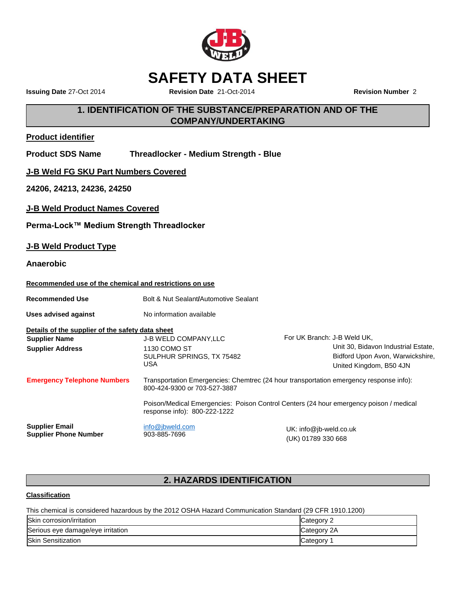

## **SAFETY DATA SHEET**

**Issuing Date** 27-Oct 2014 **Revision Date** 21-Oct-2014 **Revision Number** 2

### **1. IDENTIFICATION OF THE SUBSTANCE/PREPARATION AND OF THE COMPANY/UNDERTAKING**

### **Product identifier**

| <b>Product SDS Name</b> | <b>Threadlocker - Medium Strength - Blue</b> |
|-------------------------|----------------------------------------------|
|                         |                                              |

**J-B Weld FG SKU Part Numbers Covered**

**24206, 24213, 24236, 24250**

**J-B Weld Product Names Covered**

**Perma-Lock™ Medium Strength Threadlocker**

### **J-B Weld Product Type**

**Anaerobic**

### **Recommended use of the chemical and restrictions on use**

| <b>Recommended Use</b>                                | Bolt & Nut Sealant/Automotive Sealant                                             |                                                                                        |
|-------------------------------------------------------|-----------------------------------------------------------------------------------|----------------------------------------------------------------------------------------|
| <b>Uses advised against</b>                           | No information available                                                          |                                                                                        |
| Details of the supplier of the safety data sheet      |                                                                                   |                                                                                        |
| <b>Supplier Name</b>                                  | <b>J-B WELD COMPANY, LLC</b>                                                      | For UK Branch: J-B Weld UK,                                                            |
| <b>Supplier Address</b>                               | 1130 COMO ST                                                                      | Unit 30, Bidavon Industrial Estate,                                                    |
|                                                       | SULPHUR SPRINGS, TX 75482                                                         | Bidford Upon Avon, Warwickshire,                                                       |
|                                                       | <b>USA</b>                                                                        | United Kingdom, B50 4JN                                                                |
| <b>Emergency Telephone Numbers</b>                    | 800-424-9300 or 703-527-3887                                                      | Transportation Emergencies: Chemtrec (24 hour transportation emergency response info): |
|                                                       | response info): 800-222-1222                                                      | Poison/Medical Emergencies: Poison Control Centers (24 hour emergency poison / medical |
| <b>Supplier Email</b><br><b>Supplier Phone Number</b> | info@jbweld.com<br>$UK: info@jb-weld.co.uk$<br>903-885-7696<br>(UK) 01789 330 668 |                                                                                        |

### **2. HAZARDS IDENTIFICATION**

### **Classification**

This chemical is considered hazardous by the 2012 OSHA Hazard Communication Standard (29 CFR 1910.1200)

| Skin corrosion/irritation         | Category 2  |
|-----------------------------------|-------------|
| Serious eye damage/eye irritation | Category 2A |
| <b>Skin Sensitization</b>         | Category    |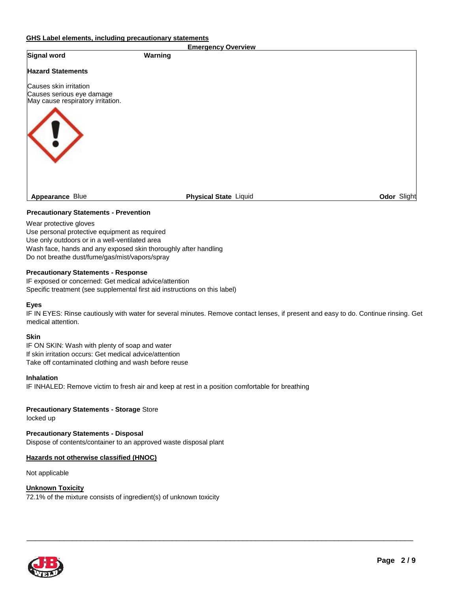#### **GHS Label elements, including precautionary statements**

| <b>Emergency Overview</b>                                                                |                              |             |
|------------------------------------------------------------------------------------------|------------------------------|-------------|
| Signal word                                                                              | Warning                      |             |
| <b>Hazard Statements</b>                                                                 |                              |             |
| Causes skin irritation<br>Causes serious eye damage<br>May cause respiratory irritation. |                              |             |
| <b>Appearance Blue</b>                                                                   | <b>Physical State Liquid</b> | Odor Slight |
|                                                                                          |                              |             |

#### **Precautionary Statements - Prevention**

Wear protective gloves Use personal protective equipment as required Use only outdoors or in a well-ventilated area Wash face, hands and any exposed skin thoroughly after handling Do not breathe dust/fume/gas/mist/vapors/spray

#### **Precautionary Statements - Response**

IF exposed or concerned: Get medical advice/attention Specific treatment (see supplemental first aid instructions on this label)

#### **Eyes**

IF IN EYES: Rinse cautiously with water for several minutes. Remove contact lenses, if present and easy to do. Continue rinsing. Get medical attention.

 $\_$  ,  $\_$  ,  $\_$  ,  $\_$  ,  $\_$  ,  $\_$  ,  $\_$  ,  $\_$  ,  $\_$  ,  $\_$  ,  $\_$  ,  $\_$  ,  $\_$  ,  $\_$  ,  $\_$  ,  $\_$  ,  $\_$  ,  $\_$  ,  $\_$  ,  $\_$  ,  $\_$  ,  $\_$  ,  $\_$  ,  $\_$  ,  $\_$  ,  $\_$  ,  $\_$  ,  $\_$  ,  $\_$  ,  $\_$  ,  $\_$  ,  $\_$  ,  $\_$  ,  $\_$  ,  $\_$  ,  $\_$  ,  $\_$  ,

#### **Skin**

IF ON SKIN: Wash with plenty of soap and water If skin irritation occurs: Get medical advice/attention Take off contaminated clothing and wash before reuse

#### **Inhalation**

IF INHALED: Remove victim to fresh air and keep at rest in a position comfortable for breathing

#### **Precautionary Statements - Storage** Store

locked up

**Precautionary Statements - Disposal** Dispose of contents/container to an approved waste disposal plant

#### **Hazards not otherwise classified (HNOC)**

Not applicable

#### **Unknown Toxicity**

72.1% of the mixture consists of ingredient(s) of unknown toxicity

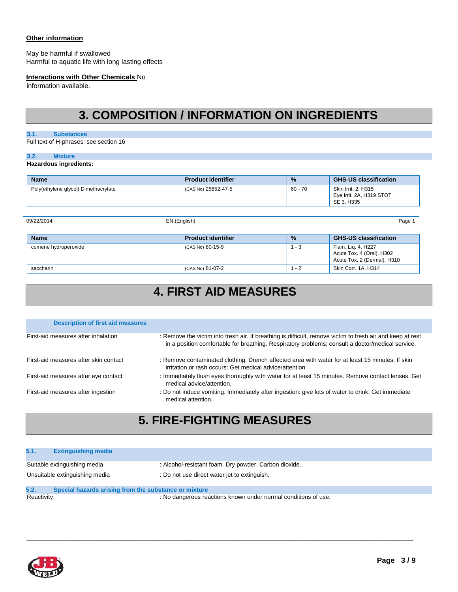#### **Other information**

May be harmful if swallowed Harmful to aquatic life with long lasting effects

#### **Interactions with Other Chemicals** No

information available.

## **3. COMPOSITION / INFORMATION ON INGREDIENTS**

#### **3.1. Substances**

Full text of H-phrases: see section 16

#### **3.2. Mixture**

#### **Hazardous ingredients:**

| <b>Name</b>                          | <b>Product identifier</b> | $\frac{9}{6}$ | <b>GHS-US classification</b>                                  |
|--------------------------------------|---------------------------|---------------|---------------------------------------------------------------|
| Poly(ethylene glycol) Dimethacrylate | (CAS No) 25852-47-5       | 60 - 70       | Skin Irrit, 2, H315<br>Eye Irrit. 2A, H319 STOT<br>SE 3. H335 |

09/22/2014 EN (English) Page 1

| <b>Name</b>          | <b>Product identifier</b> | $\frac{9}{6}$ | <b>GHS-US classification</b>                                                   |
|----------------------|---------------------------|---------------|--------------------------------------------------------------------------------|
| cumene hydroperoxide | (CAS No) 80-15-9          | $1 - 3$       | Flam. Lig. 4, H227<br>Acute Tox. 4 (Oral), H302<br>Acute Tox. 2 (Dermal), H310 |
| saccharin            | (CAS No) 81-07-2          | . - 2         | Skin Corr. 1A, H314                                                            |

# **4. FIRST AID MEASURES**

| <b>Description of first aid measures</b> |                                                                                                                                                                                                                |
|------------------------------------------|----------------------------------------------------------------------------------------------------------------------------------------------------------------------------------------------------------------|
| First-aid measures after inhalation      | : Remove the victim into fresh air. If breathing is difficult, remove victim to fresh air and keep at rest<br>in a position comfortable for breathing. Respiratory problems: consult a doctor/medical service. |
| First-aid measures after skin contact    | : Remove contaminated clothing. Drench affected area with water for at least 15 minutes. If skin<br>irritation or rash occurs: Get medical advice/attention.                                                   |
| First-aid measures after eye contact     | : Immediately flush eyes thoroughly with water for at least 15 minutes. Remove contact lenses. Get<br>medical advice/attention.                                                                                |
| First-aid measures after ingestion       | : Do not induce vomiting. Immediately after ingestion: give lots of water to drink. Get immediate<br>medical attention.                                                                                        |

## **5. FIRE-FIGHTING MEASURES**

#### **5.1. Extinguishing media**

| Suitable extinguishing media   | : Alcohol-resistant foam. Dry powder. Carbon dioxide. |
|--------------------------------|-------------------------------------------------------|
| Unsuitable extinguishing media | Do not use direct water jet to extinguish.            |

 $\_$  ,  $\_$  ,  $\_$  ,  $\_$  ,  $\_$  ,  $\_$  ,  $\_$  ,  $\_$  ,  $\_$  ,  $\_$  ,  $\_$  ,  $\_$  ,  $\_$  ,  $\_$  ,  $\_$  ,  $\_$  ,  $\_$  ,  $\_$  ,  $\_$  ,  $\_$  ,  $\_$  ,  $\_$  ,  $\_$  ,  $\_$  ,  $\_$  ,  $\_$  ,  $\_$  ,  $\_$  ,  $\_$  ,  $\_$  ,  $\_$  ,  $\_$  ,  $\_$  ,  $\_$  ,  $\_$  ,  $\_$  ,  $\_$  ,

### **5.2. Special hazards arising from the substance or mixture**

Reactivity **Reactions** : No dangerous reactions known under normal conditions of use.

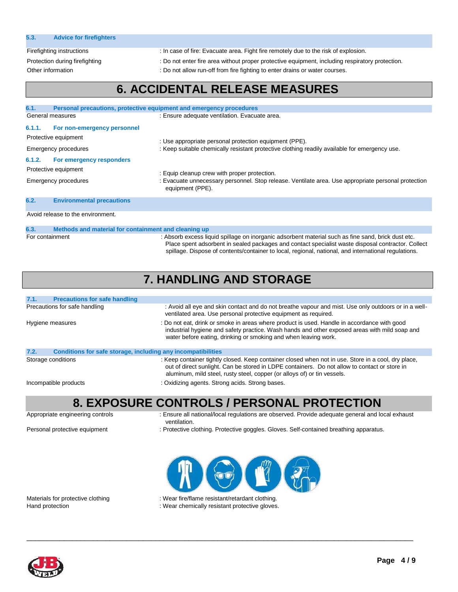| 5.3. | <b>Advice for firefighters</b> |  |
|------|--------------------------------|--|
|      |                                |  |

Firefighting instructions : In case of fire: Evacuate area. Fight fire remotely due to the risk of explosion.

Protection during firefighting : Do not enter fire area without proper protective equipment, including respiratory protection.

Other information : Do not allow run-off from fire fighting to enter drains or water courses.

## **6. ACCIDENTAL RELEASE MEASURES**

| 6.1.                                                                               | Personal precautions, protective equipment and emergency procedures         |                                                                                                                                                         |  |
|------------------------------------------------------------------------------------|-----------------------------------------------------------------------------|---------------------------------------------------------------------------------------------------------------------------------------------------------|--|
|                                                                                    | General measures                                                            | : Ensure adequate ventilation. Evacuate area.                                                                                                           |  |
| 6.1.1.                                                                             | For non-emergency personnel<br>Protective equipment<br>Emergency procedures | : Use appropriate personal protection equipment (PPE).<br>: Keep suitable chemically resistant protective clothing readily available for emergency use. |  |
| For emergency responders<br>6.1.2.<br>Protective equipment<br>Emergency procedures |                                                                             | : Equip cleanup crew with proper protection.                                                                                                            |  |
|                                                                                    |                                                                             | : Evacuate unnecessary personnel. Stop release. Ventilate area. Use appropriate personal protection<br>equipment (PPE).                                 |  |
| 6.2.                                                                               | <b>Environmental precautions</b>                                            |                                                                                                                                                         |  |
| Avoid release to the environment.                                                  |                                                                             |                                                                                                                                                         |  |
| 6.3.                                                                               | Methods and material for containment and cleaning up                        |                                                                                                                                                         |  |

For containment : Absorb excess liquid spillage on inorganic adsorbent material such as fine sand, brick dust etc. Place spent adsorbent in sealed packages and contact specialist waste disposal contractor. Collect spillage. Dispose of contents/container to local, regional, national, and international regulations.

### **7. HANDLING AND STORAGE**

| <b>Precautions for safe handling</b><br>7.1.                         |                                                                                                                                                                                                                                                                                  |
|----------------------------------------------------------------------|----------------------------------------------------------------------------------------------------------------------------------------------------------------------------------------------------------------------------------------------------------------------------------|
| Precautions for safe handling                                        | : Avoid all eye and skin contact and do not breathe vapour and mist. Use only outdoors or in a well-<br>ventilated area. Use personal protective equipment as required.                                                                                                          |
| Hygiene measures                                                     | : Do not eat, drink or smoke in areas where product is used. Handle in accordance with good<br>industrial hygiene and safety practice. Wash hands and other exposed areas with mild soap and<br>water before eating, drinking or smoking and when leaving work.                  |
| Conditions for safe storage, including any incompatibilities<br>7.2. |                                                                                                                                                                                                                                                                                  |
| Storage conditions                                                   | : Keep container tightly closed. Keep container closed when not in use. Store in a cool, dry place,<br>out of direct sunlight. Can be stored in LDPE containers. Do not allow to contact or store in<br>aluminum, mild steel, rusty steel, copper (or alloys of) or tin vessels. |
| Incompatible products                                                | : Oxidizing agents. Strong acids. Strong bases.                                                                                                                                                                                                                                  |

### **8. EXPOSURE CONTROLS / PERSONAL PROTECTION**

Appropriate engineering controls : Ensure all national/local regulations are observed. Provide adequate general and local exhaust ventilation.

Personal protective equipment : Protective clothing. Protective goggles. Gloves. Self-contained breathing apparatus.



Materials for protective clothing : Wear fire/flame resistant/retardant clothing.

Hand protection **intervalse and the Community** : Wear chemically resistant protective gloves.

 $\_$  ,  $\_$  ,  $\_$  ,  $\_$  ,  $\_$  ,  $\_$  ,  $\_$  ,  $\_$  ,  $\_$  ,  $\_$  ,  $\_$  ,  $\_$  ,  $\_$  ,  $\_$  ,  $\_$  ,  $\_$  ,  $\_$  ,  $\_$  ,  $\_$  ,  $\_$  ,  $\_$  ,  $\_$  ,  $\_$  ,  $\_$  ,  $\_$  ,  $\_$  ,  $\_$  ,  $\_$  ,  $\_$  ,  $\_$  ,  $\_$  ,  $\_$  ,  $\_$  ,  $\_$  ,  $\_$  ,  $\_$  ,  $\_$  ,

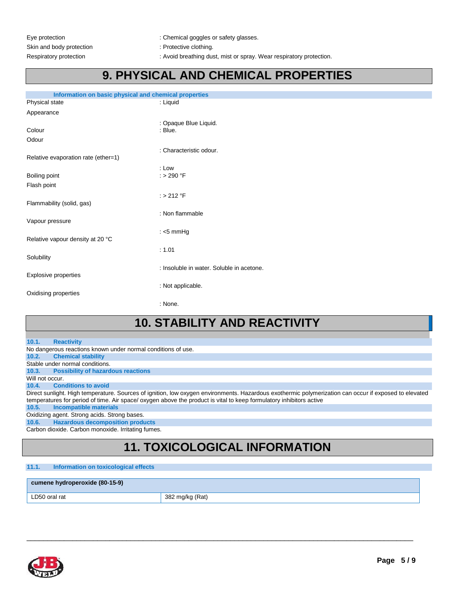Eye protection  $\qquad \qquad :$  Chemical goggles or safety glasses.

Respiratory protection : Avoid breathing dust, mist or spray. Wear respiratory protection.

### **9. PHYSICAL AND CHEMICAL PROPERTIES**

| Information on basic physical and chemical properties |                                     |                                           |
|-------------------------------------------------------|-------------------------------------|-------------------------------------------|
|                                                       | Physical state                      | : Liquid                                  |
|                                                       | Appearance                          |                                           |
|                                                       |                                     | : Opaque Blue Liquid.                     |
|                                                       | Colour                              | : Blue.                                   |
|                                                       | Odour                               |                                           |
|                                                       |                                     | : Characteristic odour.                   |
|                                                       | Relative evaporation rate (ether=1) |                                           |
|                                                       |                                     | $:$ Low                                   |
|                                                       | Boiling point                       | $:$ > 290 °F                              |
|                                                       | Flash point                         |                                           |
|                                                       |                                     | $:$ > 212 °F                              |
|                                                       | Flammability (solid, gas)           |                                           |
|                                                       |                                     | : Non flammable                           |
|                                                       | Vapour pressure                     |                                           |
|                                                       |                                     | : $<$ 5 mmHg                              |
|                                                       | Relative vapour density at 20 °C    |                                           |
|                                                       |                                     | : 1.01                                    |
|                                                       | Solubility                          |                                           |
|                                                       |                                     | : Insoluble in water. Soluble in acetone. |
|                                                       | Explosive properties                |                                           |
|                                                       | : Not applicable.                   |                                           |
| Oxidising properties                                  |                                     |                                           |
|                                                       |                                     | : None.                                   |
|                                                       |                                     |                                           |

## **10. STABILITY AND REACTIVITY**

#### **10.1. Reactivity**

No dangerous reactions known under normal conditions of use.

**10.2. Chemical stability**  Stable under normal conditions.

**10.3. Possibility of hazardous reactions** 

Will not occur.

#### **10.4. Conditions to avoid**

Direct sunlight. High temperature. Sources of ignition, low oxygen environments. Hazardous exothermic polymerization can occur if exposed to elevated temperatures for period of time. Air space/ oxygen above the product is vital to keep formulatory inhibitors active

**10.5. Incompatible materials** 

Oxidizing agent. Strong acids. Strong bases.

**10.6. Hazardous decomposition products** 

Carbon dioxide. Carbon monoxide. Irritating fumes.

## **11. TOXICOLOGICAL INFORMATION**

 $\_$  ,  $\_$  ,  $\_$  ,  $\_$  ,  $\_$  ,  $\_$  ,  $\_$  ,  $\_$  ,  $\_$  ,  $\_$  ,  $\_$  ,  $\_$  ,  $\_$  ,  $\_$  ,  $\_$  ,  $\_$  ,  $\_$  ,  $\_$  ,  $\_$  ,  $\_$  ,  $\_$  ,  $\_$  ,  $\_$  ,  $\_$  ,  $\_$  ,  $\_$  ,  $\_$  ,  $\_$  ,  $\_$  ,  $\_$  ,  $\_$  ,  $\_$  ,  $\_$  ,  $\_$  ,  $\_$  ,  $\_$  ,  $\_$  ,

#### **11.1. Information on toxicological effects**

#### **cumene hydroperoxide (80-15-9)**

LD50 oral rat  $\vert$  382 mg/kg (Rat)

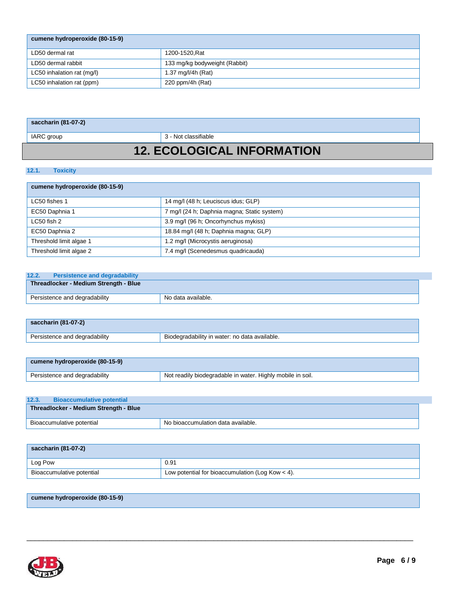| cumene hydroperoxide (80-15-9) |                               |
|--------------------------------|-------------------------------|
| LD50 dermal rat                | 1200-1520, Rat                |
| LD50 dermal rabbit             | 133 mg/kg bodyweight (Rabbit) |
| LC50 inhalation rat (mg/l)     | 1.37 $mq/l/4h$ (Rat)          |
| LC50 inhalation rat (ppm)      | 220 ppm/4h (Rat)              |

### **saccharin (81-07-2)**

IARC group 3 - Not classifiable

## **12. ECOLOGICAL INFORMATION**

#### **12.1. Toxicity**

|  | cumene hydroperoxide (80-15-9) |  |
|--|--------------------------------|--|
|--|--------------------------------|--|

| LC50 fishes 1           | 14 mg/l (48 h; Leuciscus idus; GLP)         |
|-------------------------|---------------------------------------------|
| EC50 Daphnia 1          | 7 mg/l (24 h; Daphnia magna; Static system) |
| $LC50$ fish 2           | 3.9 mg/l (96 h; Oncorhynchus mykiss)        |
| EC50 Daphnia 2          | 18.84 mg/l (48 h; Daphnia magna; GLP)       |
| Threshold limit algae 1 | 1.2 mg/l (Microcystis aeruginosa)           |
| Threshold limit algae 2 | 7.4 mg/l (Scenedesmus quadricauda)          |

### **12.2. Persistence and degradability**

| Threadlocker - Medium Strength - Blue |                    |
|---------------------------------------|--------------------|
| Persistence and degradability         | No data available. |

| saccharin (81-07-2)           |                                               |
|-------------------------------|-----------------------------------------------|
| Persistence and degradability | Biodegradability in water: no data available. |

| cumene hydroperoxide (80-15-9) |                                                            |
|--------------------------------|------------------------------------------------------------|
| Persistence and degradability  | Not readily biodegradable in water. Highly mobile in soil. |

| 12.3.                                 | <b>Bioaccumulative potential</b> |                                    |
|---------------------------------------|----------------------------------|------------------------------------|
| Threadlocker - Medium Strength - Blue |                                  |                                    |
|                                       | Bioaccumulative potential        | No bioaccumulation data available. |

| saccharin (81-07-2)       |                                                    |
|---------------------------|----------------------------------------------------|
| Log Pow                   | 0.91                                               |
| Bioaccumulative potential | Low potential for bioaccumulation (Log Kow $<$ 4). |

 $\_$  ,  $\_$  ,  $\_$  ,  $\_$  ,  $\_$  ,  $\_$  ,  $\_$  ,  $\_$  ,  $\_$  ,  $\_$  ,  $\_$  ,  $\_$  ,  $\_$  ,  $\_$  ,  $\_$  ,  $\_$  ,  $\_$  ,  $\_$  ,  $\_$  ,  $\_$  ,  $\_$  ,  $\_$  ,  $\_$  ,  $\_$  ,  $\_$  ,  $\_$  ,  $\_$  ,  $\_$  ,  $\_$  ,  $\_$  ,  $\_$  ,  $\_$  ,  $\_$  ,  $\_$  ,  $\_$  ,  $\_$  ,  $\_$  ,

### **cumene hydroperoxide (80-15-9)**

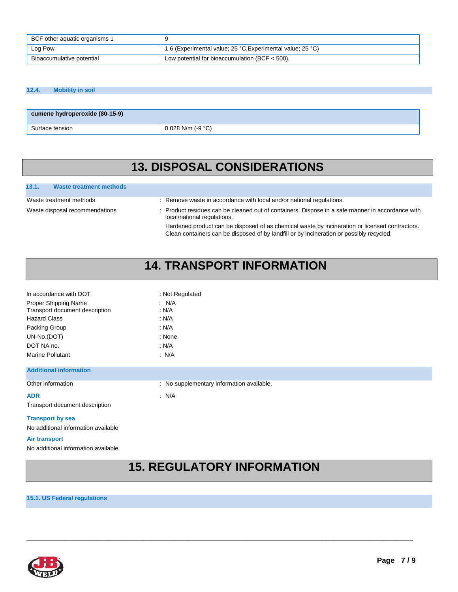| BCF other aquatic organisms 1 |                                                            |
|-------------------------------|------------------------------------------------------------|
| Log Pow                       | 1.6 (Experimental value; 25 °C, Experimental value; 25 °C) |
| Bioaccumulative potential     | Low potential for bioaccumulation (BCF $<$ 500).           |

#### **12.4. Mobility in soil**

| cumene hydroperoxide (80-15-9) |                     |
|--------------------------------|---------------------|
| Surface tension                | $0.028$ N/m (-9 °C) |

### **13. DISPOSAL CONSIDERATIONS**

#### **13.1. Waste treatment methods**

- Waste treatment methods : Remove waste in accordance with local and/or national regulations.
- Waste disposal recommendations : Product residues can be cleaned out of containers. Dispose in a safe manner in accordance with local/national regulations.

Hardened product can be disposed of as chemical waste by incineration or licensed contractors. Clean containers can be disposed of by landfill or by incineration or possibly recycled.

## **14. TRANSPORT INFORMATION**

| In accordance with DOT                                                        | : Not Regulated                           |
|-------------------------------------------------------------------------------|-------------------------------------------|
| Proper Shipping Name<br>Transport document description<br><b>Hazard Class</b> | : N/A<br>N/A<br>: N/A                     |
| Packing Group                                                                 | N/A                                       |
| UN-No.(DOT)                                                                   | : None                                    |
| DOT NA no.                                                                    | : N/A                                     |
| <b>Marine Pollutant</b>                                                       | $\therefore$ N/A                          |
| <b>Additional information</b>                                                 |                                           |
| Other information                                                             | : No supplementary information available. |
| <b>ADR</b>                                                                    | : N/A                                     |
| Transport document description                                                |                                           |
| <b>Transport by sea</b>                                                       |                                           |
| No additional information available                                           |                                           |
| Air transport                                                                 |                                           |
|                                                                               |                                           |

#### No additional information available

### **15. REGULATORY INFORMATION**

 $\_$  ,  $\_$  ,  $\_$  ,  $\_$  ,  $\_$  ,  $\_$  ,  $\_$  ,  $\_$  ,  $\_$  ,  $\_$  ,  $\_$  ,  $\_$  ,  $\_$  ,  $\_$  ,  $\_$  ,  $\_$  ,  $\_$  ,  $\_$  ,  $\_$  ,  $\_$  ,  $\_$  ,  $\_$  ,  $\_$  ,  $\_$  ,  $\_$  ,  $\_$  ,  $\_$  ,  $\_$  ,  $\_$  ,  $\_$  ,  $\_$  ,  $\_$  ,  $\_$  ,  $\_$  ,  $\_$  ,  $\_$  ,  $\_$  ,

#### **15.1. US Federal regulations**

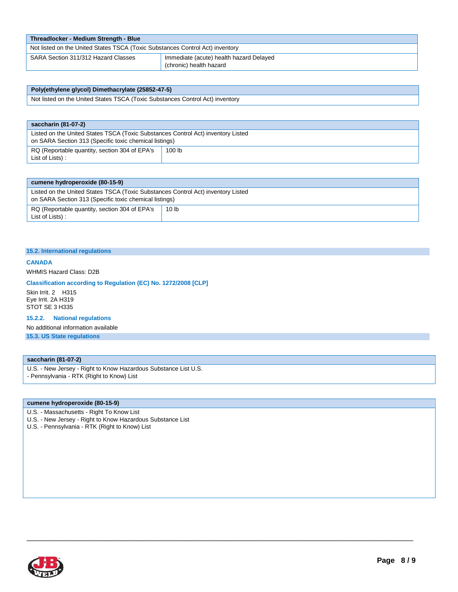| Threadlocker - Medium Strength - Blue                                         |                                                                    |  |
|-------------------------------------------------------------------------------|--------------------------------------------------------------------|--|
| Not listed on the United States TSCA (Toxic Substances Control Act) inventory |                                                                    |  |
| SARA Section 311/312 Hazard Classes                                           | Immediate (acute) health hazard Delayed<br>(chronic) health hazard |  |

| Poly(ethylene glycol) Dimethacrylate (25852-47-5)                             |
|-------------------------------------------------------------------------------|
| Not listed on the United States TSCA (Toxic Substances Control Act) inventory |

| saccharin (81-07-2)                                                                                                                        |                   |
|--------------------------------------------------------------------------------------------------------------------------------------------|-------------------|
| Listed on the United States TSCA (Toxic Substances Control Act) inventory Listed<br>on SARA Section 313 (Specific toxic chemical listings) |                   |
| RQ (Reportable quantity, section 304 of EPA's<br>List of Lists):                                                                           | 100 <sub>lb</sub> |

| cumene hydroperoxide (80-15-9)                                                                                                             |       |
|--------------------------------------------------------------------------------------------------------------------------------------------|-------|
| Listed on the United States TSCA (Toxic Substances Control Act) inventory Listed<br>on SARA Section 313 (Specific toxic chemical listings) |       |
| RQ (Reportable quantity, section 304 of EPA's<br>List of Lists):                                                                           | 10 lb |

 $\_$  ,  $\_$  ,  $\_$  ,  $\_$  ,  $\_$  ,  $\_$  ,  $\_$  ,  $\_$  ,  $\_$  ,  $\_$  ,  $\_$  ,  $\_$  ,  $\_$  ,  $\_$  ,  $\_$  ,  $\_$  ,  $\_$  ,  $\_$  ,  $\_$  ,  $\_$  ,  $\_$  ,  $\_$  ,  $\_$  ,  $\_$  ,  $\_$  ,  $\_$  ,  $\_$  ,  $\_$  ,  $\_$  ,  $\_$  ,  $\_$  ,  $\_$  ,  $\_$  ,  $\_$  ,  $\_$  ,  $\_$  ,  $\_$  ,

#### **15.2. International regulations**

#### **CANADA**

WHMIS Hazard Class: D2B

#### **Classification according to Regulation (EC) No. 1272/2008 [CLP]**

Skin Irrit. 2 H315 Eye Irrit. 2A H319 STOT SE 3 H335

#### **15.2.2. National regulations**

No additional information available

**15.3. US State regulations** 

#### **saccharin (81-07-2)**

- U.S. New Jersey Right to Know Hazardous Substance List U.S.
- Pennsylvania RTK (Right to Know) List

#### **cumene hydroperoxide (80-15-9)**

- U.S. Massachusetts Right To Know List
- U.S. New Jersey Right to Know Hazardous Substance List
- U.S. Pennsylvania RTK (Right to Know) List